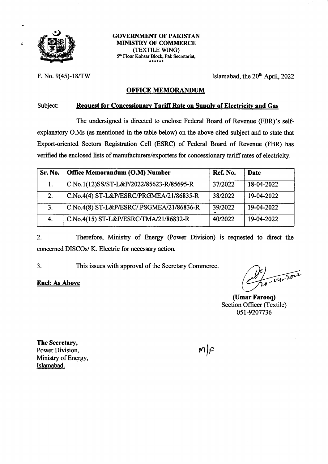

t

### **GOVERNMENT OF PAKISTAN** MIMSTRY OF COMMERCE (TEXTILE WING) 5<sup>th</sup> Floor Kohsar Block, Pak Secretariat,

F. No. 9(45)-18/TW Islamabad, the  $20<sup>th</sup>$  April, 2022

### OFFICE MEMORANDUM

### Subject: Request for Concessionary Tariff Rate on Supply of Electricity and Gas

The undersigned is directed to enclose Federal Board of Revenue (FBR)'s selfexplanatory O.Ms (as mentioned in the table below) on the above cited subject and to state that Export-oriented Sectors Registration Cell (ESRC) of Federal Board of Revenue (FBR) has verified the enclosed lists of manufacturers/exporters for concessionary tariffrates of electricity.

| Sr. No. | Office Memorandum (O.M) Number           | Ref. No. | <b>Date</b> |
|---------|------------------------------------------|----------|-------------|
|         | C.No.1(12)SS/ST-L&P/2022/85623-R/85695-R | 37/2022  | 18-04-2022  |
| 2.      | C.No.4(4) ST-L&P/ESRC/PRGMEA/21/86835-R  | 38/2022  | 19-04-2022  |
| 3.      | C.No.4(8) ST-L&P/ESRC/.PSGMEA/21/86836-R | 39/2022  | 19-04-2022  |
| 4.      | C.No.4(15) ST-L&P/ESRC/TMA/21/86832-R    | 40/2022  | 19-04-2022  |

2. Therefore, Ministry of Energy (Power Division) is requested to direct the concerned DISCOs/ K. Electric for necessary action.

This issues with approval of the Secretary Commerce. 3

Encl: As Above  $\left(\frac{d}{d\theta} \right)$ 

(Umar Farooq) Section Officer (Textile) 05t-9207736

The Secretary, Power Division, Ministry of Energy, Islamabad.

 $m$  $\curvearrowright$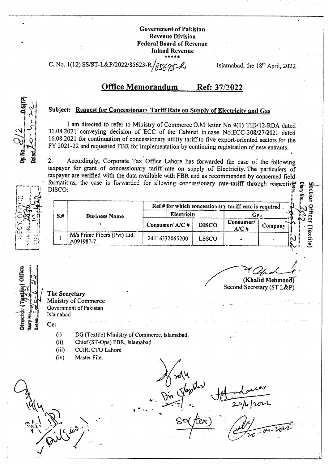C. No. 1(12) SS/ST-L&P/2022/85623

Islamabad, the 18<sup>th</sup> April, 2022

**ection Officer (Textile)** 

#### **Office Memorandum** Ref: 37/2022

## Subject: Request for Concessionary Tariff Rate on Supply of Electricity and Gas

I am directed to refer to Ministry of Commerce O.M letter No 9(1) TID/12-RDA dated 31.08.2021 conveying decision of ECC of the Cabinet in case No.ECC-308/27/2021 dated 16.08.2021 for continuation of concessionary utility tariff to five export-oriented sectors for the FY 2021-22 and requested FBR for implementation by continuing registration of new entrants.

Accordingly, Corporate Tax Office Lahore has forwarded the case of the following  $2.$ taxpayer for grant of concessionary tariff rate on supply of Electricity. The particulars of taxpayer are verified with the data available with FBR and as recommended by concerned field formations, the case is forwarded for allowing concessionary rate-tariff through respective DISCO:



| Ref # for which concessionary tariff rate is required |                                          |                |              |                        |         |
|-------------------------------------------------------|------------------------------------------|----------------|--------------|------------------------|---------|
| $S+$                                                  | <b>Business Name</b>                     | Electricity    |              | $\mathbf{G}\mathbf{z}$ |         |
|                                                       |                                          | Consumer/A/C#  | <b>DISCO</b> | Consumer/<br>A/CH      | Company |
|                                                       | M/s Prime Fibers (Pvt) Ltd.<br>A091987-7 | 24116332065200 | <b>LESCO</b> |                        |         |

Cc:

- **The Secretary** Ministry of Commerce Government of Pakistan Islamabad
	- $(i)$ DG (Textile) Ministry of Commerce, Islamabad,
	- $(ii)$ Chief (ST-Ops) FBR, Islamabad
	- CCIR, CTO Lahore  $(iii)$
	- Master File.  $(iv)$

ГРХ

(Khalid Mehmood)

Second Secretary (ST L&P)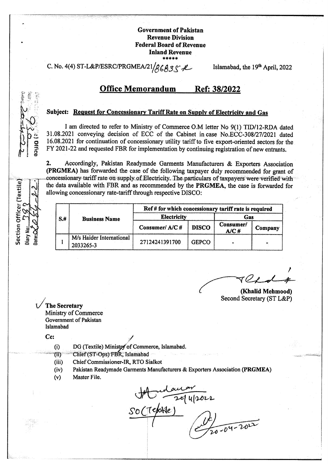C. No. 4(4) ST-L&P/ESRC/PRGMEA/21 86B3S A Islamabad, the 19th April, 2022

#### **Office Memorandum** Ref: 38/2022

### Subject: Request for Concessionary Tariff Rate on Supply of Electricity and Gas

I am directed to refer to Ministry of Commerce O.M letter No 9(1) TID/12-RDA dated 31.08.2021 conveying decision of ECC of the Cabinet in case No.ECC-308/27/2021 dated 16.08.2021 for continuation of concessionary utility tariff to five export-oriented sectors for the FY 2021-22 and requested FBR for implementation by continuing registration of new entrants.

 $2.$ Accordingly, Pakistan Readymade Garments Manufacturers & Exporters Association (PRGMEA) has forwarded the case of the following taxpayer duly recommended for grant of concessionary tariff rate on supply of Electricity. The particulars of taxpayers were verified with the data available with FBR and as recommended by the PRGMEA, the case is forwarded for allowing concessionary rate-tariff through respective DISCO:

|      |                                       | Ref # for which concessionary tariff rate is required |              |                   |         |
|------|---------------------------------------|-------------------------------------------------------|--------------|-------------------|---------|
| $S+$ | <b>Business Name</b>                  | <b>Electricity</b>                                    |              | Gas               |         |
|      |                                       | Consumer/A/C#                                         | <b>DISCO</b> | Consumer/<br>A/CH | Company |
|      | M/s Haider International<br>2033265-3 | 27124241391700                                        | <b>GEPCO</b> |                   |         |

(Khalid Mehmood) Second Secretary (ST L&P)

**The Secretary Ministry of Commerce** Government of Pakistan Islamabad

Cc:

- DG (Textile) Ministry of Commerce, Islamabad.  $(i)$
- Chief (ST-Ops) FBR, Islamabad  $(ii)$
- $(iii)$ Chief Commissioner-IR, RTO Sialkot
- Pakistan Readymade Garments Manufacturers & Exporters Association (PRGMEA)  $(iv)$
- Master File.  $(v)$

 $\frac{1}{2}$ 'Telafle



Section Officer (Textile)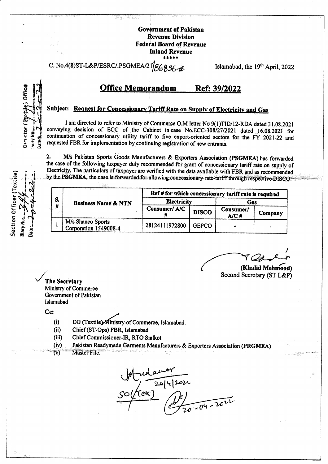C. No.4(8)ST-L&P/ESRC/.PSGMEA B6836-l Islamabad, the 19th April, 2022

### **Office Memorandum** Ref: 39/2022

# Subject: Request for Concessionary Tariff Rate on Supply of Electricity and Gas

I am directed to refer to Ministry of Commerce O.M letter No 9(1)TID/12-RDA dated 31.08.2021 conveying decision of ECC of the Cabinet in case No.ECC-308/27/2021 dated 16.08.2021 for continuation of concessionary utility tariff to five export-oriented sectors for the FY 2021-22 and requested FBR for implementation by continuing registration of new entrants.

M/s Pakistan Sports Goods Manufacturers & Exporters Association (PSGMEA) has forwarded  $2.$ the case of the following taxpayer duly recommended for grant of concessionary tariff rate on supply of Electricity. The particulars of taxpayer are verified with the data available with FBR and as recommended by the PSGMEA, the case is forwarded for allowing concessionary rate-tariff through respective DISCO.

ection Officer (Textil

**Director** 

all Air

**Bater** 

| S.<br># | <b>Business Name &amp; NTN</b>             | Ref # for which concessionary tariff rate is required |              |                   |         |  |
|---------|--------------------------------------------|-------------------------------------------------------|--------------|-------------------|---------|--|
|         |                                            | <b>Electricity</b>                                    |              | Gas               |         |  |
|         |                                            | Consumer/A/C                                          | <b>DISCO</b> | Consumer/<br>A/C# | Company |  |
|         | M/s Shanco Sports<br>Corporation 1549008-4 | 28124111972800                                        | <b>GEPCO</b> |                   |         |  |

(Khalid Mehmood) Second Secretary (ST L&P)

**The Secretary** Ministry of Commerce Government of Pakistan Islamabad

Cc:

- DG (Textile) Ministry of Commerce, Islamabad.  $(i)$
- $(ii)$ Chief (ST-Ops) FBR, Islamabad
- $(iii)$ Chief Commissioner-IR, RTO Sialkot
- Pakistan Readymade Garments Manufacturers & Exporters Association (PRGMEA)  $(iv)$
- Master File.  $\mathsf{TV}$

manar<br>(2014/2022)